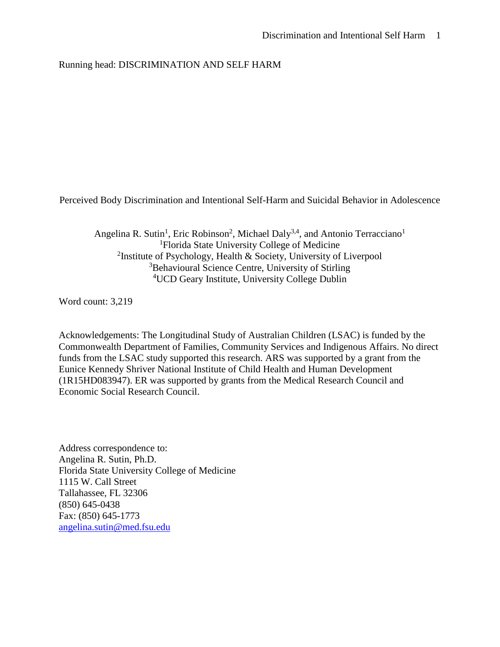## Running head: DISCRIMINATION AND SELF HARM

Perceived Body Discrimination and Intentional Self-Harm and Suicidal Behavior in Adolescence

Angelina R. Sutin<sup>1</sup>, Eric Robinson<sup>2</sup>, Michael Daly<sup>3,4</sup>, and Antonio Terracciano<sup>1</sup> <sup>1</sup>Florida State University College of Medicine <sup>2</sup>Institute of Psychology, Health & Society, University of Liverpool <sup>3</sup>Behavioural Science Centre, University of Stirling <sup>4</sup>UCD Geary Institute, University College Dublin

Word count: 3,219

Acknowledgements: The Longitudinal Study of Australian Children (LSAC) is funded by the Commonwealth Department of Families, Community Services and Indigenous Affairs. No direct funds from the LSAC study supported this research. ARS was supported by a grant from the Eunice Kennedy Shriver National Institute of Child Health and Human Development (1R15HD083947). ER was supported by grants from the Medical Research Council and Economic Social Research Council.

Address correspondence to: Angelina R. Sutin, Ph.D. Florida State University College of Medicine 1115 W. Call Street Tallahassee, FL 32306 (850) 645-0438 Fax: (850) 645-1773 [angelina.sutin@med.fsu.edu](mailto:angelina.sutin@med.fsu.edu)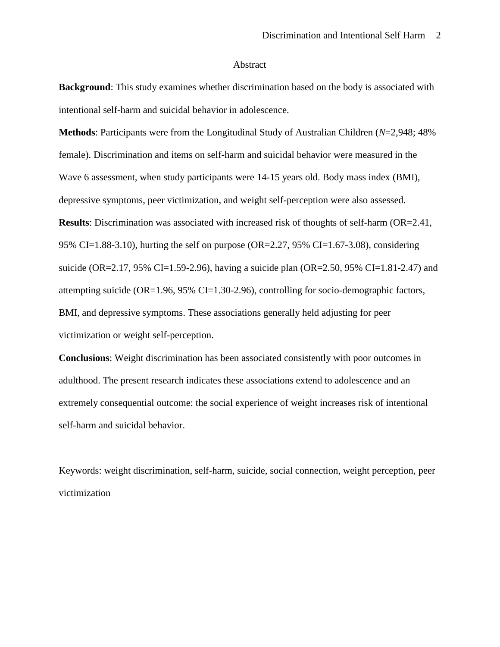#### Abstract

**Background**: This study examines whether discrimination based on the body is associated with intentional self-harm and suicidal behavior in adolescence.

**Methods**: Participants were from the Longitudinal Study of Australian Children (*N*=2,948; 48% female). Discrimination and items on self-harm and suicidal behavior were measured in the Wave 6 assessment, when study participants were 14-15 years old. Body mass index (BMI), depressive symptoms, peer victimization, and weight self-perception were also assessed. **Results**: Discrimination was associated with increased risk of thoughts of self-harm (OR=2.41, 95% CI=1.88-3.10), hurting the self on purpose (OR=2.27, 95% CI=1.67-3.08), considering suicide (OR=2.17, 95% CI=1.59-2.96), having a suicide plan (OR=2.50, 95% CI=1.81-2.47) and attempting suicide (OR=1.96, 95% CI=1.30-2.96), controlling for socio-demographic factors, BMI, and depressive symptoms. These associations generally held adjusting for peer victimization or weight self-perception.

**Conclusions**: Weight discrimination has been associated consistently with poor outcomes in adulthood. The present research indicates these associations extend to adolescence and an extremely consequential outcome: the social experience of weight increases risk of intentional self-harm and suicidal behavior.

Keywords: weight discrimination, self-harm, suicide, social connection, weight perception, peer victimization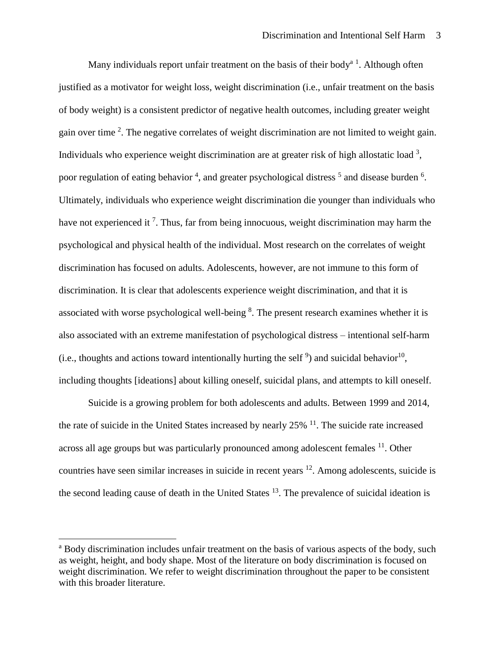Many individuals report unfair treatment on the basis of their body<sup> $a<sup>1</sup>$ </sup>. Although often justified as a motivator for weight loss, weight discrimination (i.e., unfair treatment on the basis of body weight) is a consistent predictor of negative health outcomes, including greater weight gain over time  $2$ . The negative correlates of weight discrimination are not limited to weight gain. Individuals who experience weight discrimination are at greater risk of high allostatic load  $3$ , poor regulation of eating behavior<sup>4</sup>, and greater psychological distress<sup>5</sup> and disease burden<sup>6</sup>. Ultimately, individuals who experience weight discrimination die younger than individuals who have not experienced it  $<sup>7</sup>$ . Thus, far from being innocuous, weight discrimination may harm the</sup> psychological and physical health of the individual. Most research on the correlates of weight discrimination has focused on adults. Adolescents, however, are not immune to this form of discrimination. It is clear that adolescents experience weight discrimination, and that it is associated with worse psychological well-being  $\delta$ . The present research examines whether it is also associated with an extreme manifestation of psychological distress – intentional self-harm (i.e., thoughts and actions toward intentionally hurting the self<sup>9</sup>) and suicidal behavior<sup>10</sup>, including thoughts [ideations] about killing oneself, suicidal plans, and attempts to kill oneself.

Suicide is a growing problem for both adolescents and adults. Between 1999 and 2014, the rate of suicide in the United States increased by nearly  $25\%$   $^{11}$ . The suicide rate increased across all age groups but was particularly pronounced among adolescent females <sup>11</sup>. Other countries have seen similar increases in suicide in recent years <sup>12</sup>. Among adolescents, suicide is the second leading cause of death in the United States  $13$ . The prevalence of suicidal ideation is

 $\overline{\phantom{a}}$ 

<sup>&</sup>lt;sup>a</sup> Body discrimination includes unfair treatment on the basis of various aspects of the body, such as weight, height, and body shape. Most of the literature on body discrimination is focused on weight discrimination. We refer to weight discrimination throughout the paper to be consistent with this broader literature.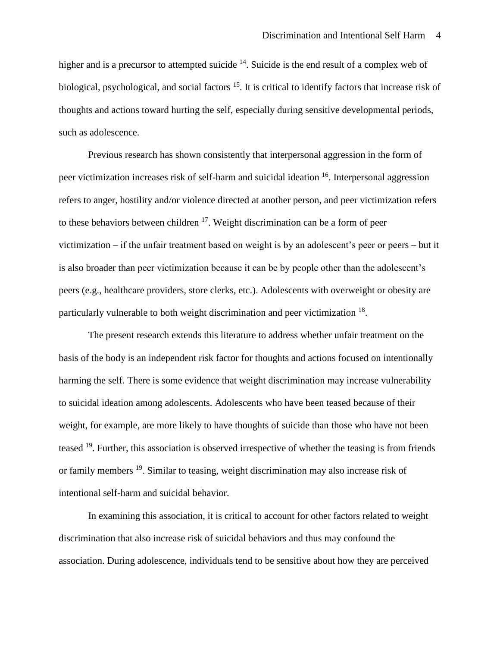higher and is a precursor to attempted suicide <sup>14</sup>. Suicide is the end result of a complex web of biological, psychological, and social factors <sup>15</sup>. It is critical to identify factors that increase risk of thoughts and actions toward hurting the self, especially during sensitive developmental periods, such as adolescence.

Previous research has shown consistently that interpersonal aggression in the form of peer victimization increases risk of self-harm and suicidal ideation <sup>16</sup>. Interpersonal aggression refers to anger, hostility and/or violence directed at another person, and peer victimization refers to these behaviors between children <sup>17</sup>. Weight discrimination can be a form of peer victimization – if the unfair treatment based on weight is by an adolescent's peer or peers – but it is also broader than peer victimization because it can be by people other than the adolescent's peers (e.g., healthcare providers, store clerks, etc.). Adolescents with overweight or obesity are particularly vulnerable to both weight discrimination and peer victimization <sup>18</sup>.

The present research extends this literature to address whether unfair treatment on the basis of the body is an independent risk factor for thoughts and actions focused on intentionally harming the self. There is some evidence that weight discrimination may increase vulnerability to suicidal ideation among adolescents. Adolescents who have been teased because of their weight, for example, are more likely to have thoughts of suicide than those who have not been teased <sup>19</sup>. Further, this association is observed irrespective of whether the teasing is from friends or family members <sup>19</sup>. Similar to teasing, weight discrimination may also increase risk of intentional self-harm and suicidal behavior.

In examining this association, it is critical to account for other factors related to weight discrimination that also increase risk of suicidal behaviors and thus may confound the association. During adolescence, individuals tend to be sensitive about how they are perceived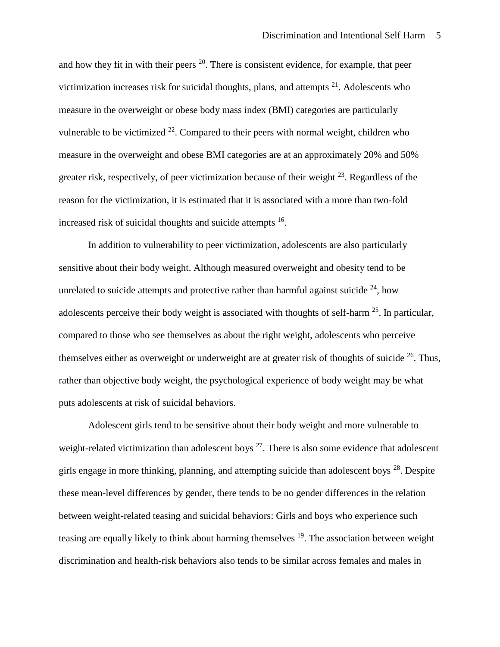and how they fit in with their peers  $20$ . There is consistent evidence, for example, that peer victimization increases risk for suicidal thoughts, plans, and attempts  $2<sup>1</sup>$ . Adolescents who measure in the overweight or obese body mass index (BMI) categories are particularly vulnerable to be victimized  $^{22}$ . Compared to their peers with normal weight, children who measure in the overweight and obese BMI categories are at an approximately 20% and 50% greater risk, respectively, of peer victimization because of their weight  $^{23}$ . Regardless of the reason for the victimization, it is estimated that it is associated with a more than two-fold increased risk of suicidal thoughts and suicide attempts <sup>16</sup>.

In addition to vulnerability to peer victimization, adolescents are also particularly sensitive about their body weight. Although measured overweight and obesity tend to be unrelated to suicide attempts and protective rather than harmful against suicide  $^{24}$ , how adolescents perceive their body weight is associated with thoughts of self-harm  $25$ . In particular, compared to those who see themselves as about the right weight, adolescents who perceive themselves either as overweight or underweight are at greater risk of thoughts of suicide <sup>26</sup>. Thus, rather than objective body weight, the psychological experience of body weight may be what puts adolescents at risk of suicidal behaviors.

Adolescent girls tend to be sensitive about their body weight and more vulnerable to weight-related victimization than adolescent boys  $27$ . There is also some evidence that adolescent girls engage in more thinking, planning, and attempting suicide than adolescent boys <sup>28</sup>. Despite these mean-level differences by gender, there tends to be no gender differences in the relation between weight-related teasing and suicidal behaviors: Girls and boys who experience such teasing are equally likely to think about harming themselves <sup>19</sup>. The association between weight discrimination and health-risk behaviors also tends to be similar across females and males in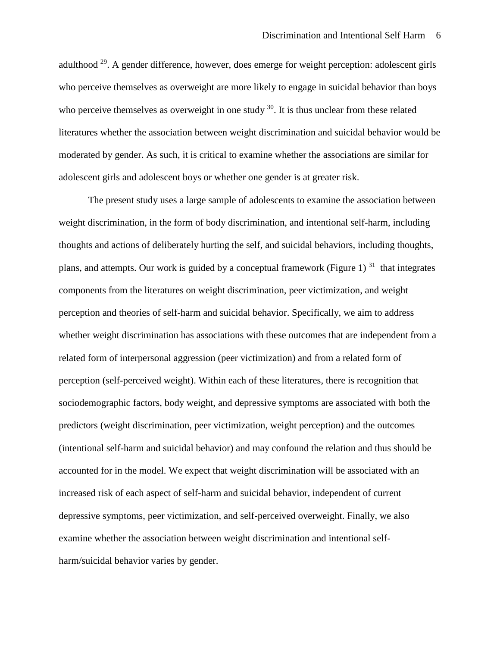adulthood <sup>29</sup>. A gender difference, however, does emerge for weight perception: adolescent girls who perceive themselves as overweight are more likely to engage in suicidal behavior than boys who perceive themselves as overweight in one study  $30$ . It is thus unclear from these related literatures whether the association between weight discrimination and suicidal behavior would be moderated by gender. As such, it is critical to examine whether the associations are similar for adolescent girls and adolescent boys or whether one gender is at greater risk.

The present study uses a large sample of adolescents to examine the association between weight discrimination, in the form of body discrimination, and intentional self-harm, including thoughts and actions of deliberately hurting the self, and suicidal behaviors, including thoughts, plans, and attempts. Our work is guided by a conceptual framework (Figure 1)<sup>31</sup> that integrates components from the literatures on weight discrimination, peer victimization, and weight perception and theories of self-harm and suicidal behavior. Specifically, we aim to address whether weight discrimination has associations with these outcomes that are independent from a related form of interpersonal aggression (peer victimization) and from a related form of perception (self-perceived weight). Within each of these literatures, there is recognition that sociodemographic factors, body weight, and depressive symptoms are associated with both the predictors (weight discrimination, peer victimization, weight perception) and the outcomes (intentional self-harm and suicidal behavior) and may confound the relation and thus should be accounted for in the model. We expect that weight discrimination will be associated with an increased risk of each aspect of self-harm and suicidal behavior, independent of current depressive symptoms, peer victimization, and self-perceived overweight. Finally, we also examine whether the association between weight discrimination and intentional selfharm/suicidal behavior varies by gender.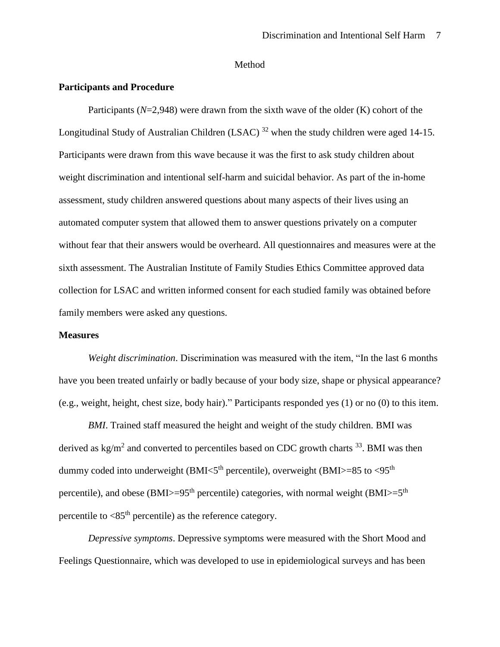#### Method

### **Participants and Procedure**

Participants  $(N=2,948)$  were drawn from the sixth wave of the older  $(K)$  cohort of the Longitudinal Study of Australian Children (LSAC)  $^{32}$  when the study children were aged 14-15. Participants were drawn from this wave because it was the first to ask study children about weight discrimination and intentional self-harm and suicidal behavior. As part of the in-home assessment, study children answered questions about many aspects of their lives using an automated computer system that allowed them to answer questions privately on a computer without fear that their answers would be overheard. All questionnaires and measures were at the sixth assessment. The Australian Institute of Family Studies Ethics Committee approved data collection for LSAC and written informed consent for each studied family was obtained before family members were asked any questions.

#### **Measures**

*Weight discrimination*. Discrimination was measured with the item, "In the last 6 months have you been treated unfairly or badly because of your body size, shape or physical appearance? (e.g., weight, height, chest size, body hair)." Participants responded yes (1) or no (0) to this item.

*BMI*. Trained staff measured the height and weight of the study children. BMI was derived as  $\text{kg/m}^2$  and converted to percentiles based on CDC growth charts  $^{33}$ . BMI was then dummy coded into underweight (BMI $<$ 5<sup>th</sup> percentile), overweight (BMI $>$ =85 to  $<$ 95<sup>th</sup> percentile), and obese (BMI>=95<sup>th</sup> percentile) categories, with normal weight (BMI>=5<sup>th</sup> percentile to  $\langle 85^{\text{th}}$  percentile) as the reference category.

*Depressive symptoms*. Depressive symptoms were measured with the Short Mood and Feelings Questionnaire, which was developed to use in epidemiological surveys and has been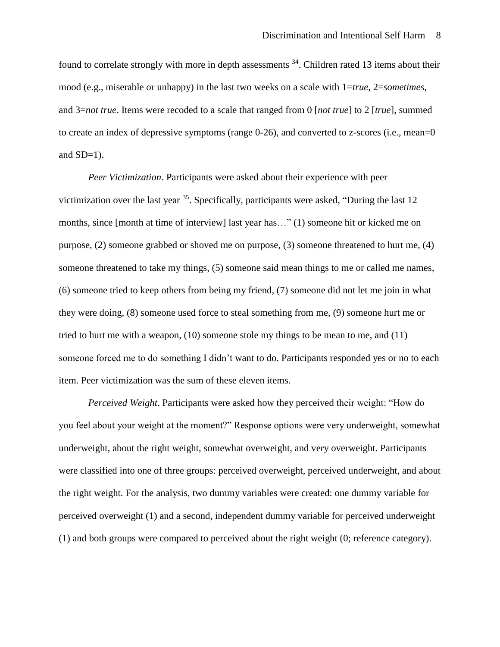found to correlate strongly with more in depth assessments <sup>34</sup>. Children rated 13 items about their mood (e.g., miserable or unhappy) in the last two weeks on a scale with 1=*true*, 2=*sometimes*, and 3=*not true*. Items were recoded to a scale that ranged from 0 [*not true*] to 2 [*true*], summed to create an index of depressive symptoms (range 0-26), and converted to z-scores (i.e., mean=0 and  $SD=1$ ).

*Peer Victimization*. Participants were asked about their experience with peer victimization over the last year  $35$ . Specifically, participants were asked, "During the last 12 months, since [month at time of interview] last year has…" (1) someone hit or kicked me on purpose, (2) someone grabbed or shoved me on purpose, (3) someone threatened to hurt me, (4) someone threatened to take my things, (5) someone said mean things to me or called me names, (6) someone tried to keep others from being my friend, (7) someone did not let me join in what they were doing, (8) someone used force to steal something from me, (9) someone hurt me or tried to hurt me with a weapon, (10) someone stole my things to be mean to me, and (11) someone forced me to do something I didn't want to do. Participants responded yes or no to each item. Peer victimization was the sum of these eleven items.

*Perceived Weight*. Participants were asked how they perceived their weight: "How do you feel about your weight at the moment?" Response options were very underweight, somewhat underweight, about the right weight, somewhat overweight, and very overweight. Participants were classified into one of three groups: perceived overweight, perceived underweight, and about the right weight. For the analysis, two dummy variables were created: one dummy variable for perceived overweight (1) and a second, independent dummy variable for perceived underweight (1) and both groups were compared to perceived about the right weight (0; reference category).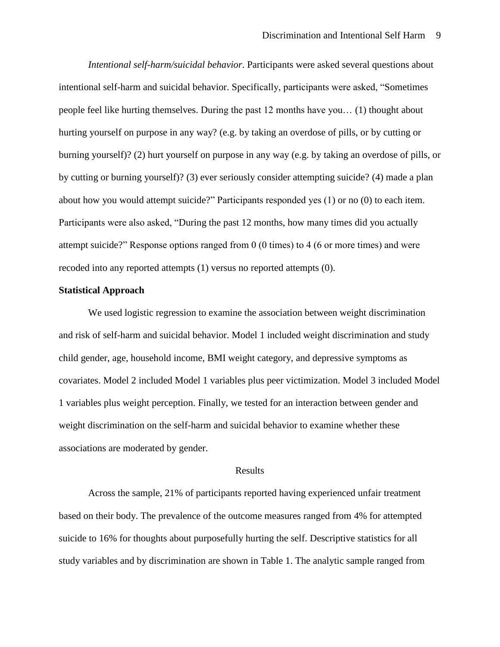*Intentional self-harm/suicidal behavior*. Participants were asked several questions about intentional self-harm and suicidal behavior. Specifically, participants were asked, "Sometimes people feel like hurting themselves. During the past 12 months have you… (1) thought about hurting yourself on purpose in any way? (e.g. by taking an overdose of pills, or by cutting or burning yourself)? (2) hurt yourself on purpose in any way (e.g. by taking an overdose of pills, or by cutting or burning yourself)? (3) ever seriously consider attempting suicide? (4) made a plan about how you would attempt suicide?" Participants responded yes (1) or no (0) to each item. Participants were also asked, "During the past 12 months, how many times did you actually attempt suicide?" Response options ranged from 0 (0 times) to 4 (6 or more times) and were recoded into any reported attempts (1) versus no reported attempts (0).

#### **Statistical Approach**

We used logistic regression to examine the association between weight discrimination and risk of self-harm and suicidal behavior. Model 1 included weight discrimination and study child gender, age, household income, BMI weight category, and depressive symptoms as covariates. Model 2 included Model 1 variables plus peer victimization. Model 3 included Model 1 variables plus weight perception. Finally, we tested for an interaction between gender and weight discrimination on the self-harm and suicidal behavior to examine whether these associations are moderated by gender.

#### Results

Across the sample, 21% of participants reported having experienced unfair treatment based on their body. The prevalence of the outcome measures ranged from 4% for attempted suicide to 16% for thoughts about purposefully hurting the self. Descriptive statistics for all study variables and by discrimination are shown in Table 1. The analytic sample ranged from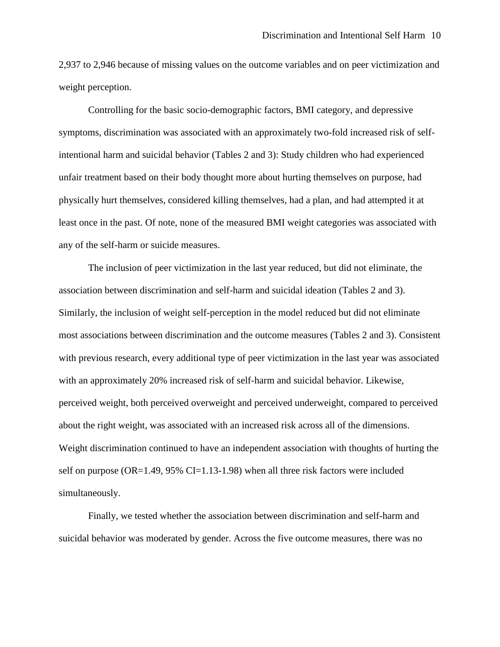2,937 to 2,946 because of missing values on the outcome variables and on peer victimization and weight perception.

Controlling for the basic socio-demographic factors, BMI category, and depressive symptoms, discrimination was associated with an approximately two-fold increased risk of selfintentional harm and suicidal behavior (Tables 2 and 3): Study children who had experienced unfair treatment based on their body thought more about hurting themselves on purpose, had physically hurt themselves, considered killing themselves, had a plan, and had attempted it at least once in the past. Of note, none of the measured BMI weight categories was associated with any of the self-harm or suicide measures.

The inclusion of peer victimization in the last year reduced, but did not eliminate, the association between discrimination and self-harm and suicidal ideation (Tables 2 and 3). Similarly, the inclusion of weight self-perception in the model reduced but did not eliminate most associations between discrimination and the outcome measures (Tables 2 and 3). Consistent with previous research, every additional type of peer victimization in the last year was associated with an approximately 20% increased risk of self-harm and suicidal behavior. Likewise, perceived weight, both perceived overweight and perceived underweight, compared to perceived about the right weight, was associated with an increased risk across all of the dimensions. Weight discrimination continued to have an independent association with thoughts of hurting the self on purpose (OR=1.49, 95% CI=1.13-1.98) when all three risk factors were included simultaneously.

Finally, we tested whether the association between discrimination and self-harm and suicidal behavior was moderated by gender. Across the five outcome measures, there was no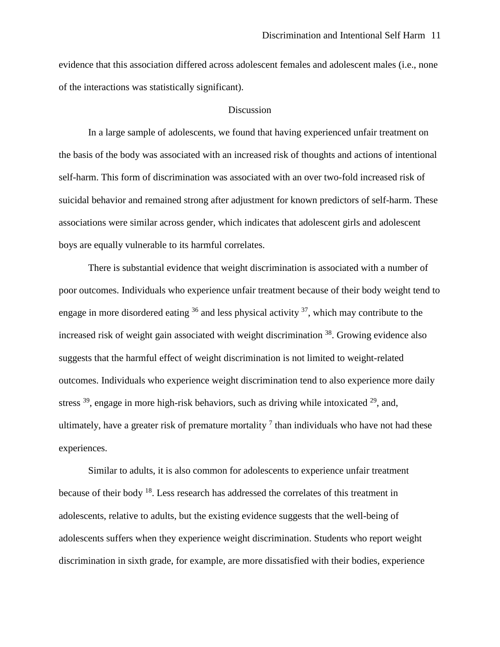evidence that this association differed across adolescent females and adolescent males (i.e., none of the interactions was statistically significant).

#### Discussion

In a large sample of adolescents, we found that having experienced unfair treatment on the basis of the body was associated with an increased risk of thoughts and actions of intentional self-harm. This form of discrimination was associated with an over two-fold increased risk of suicidal behavior and remained strong after adjustment for known predictors of self-harm. These associations were similar across gender, which indicates that adolescent girls and adolescent boys are equally vulnerable to its harmful correlates.

There is substantial evidence that weight discrimination is associated with a number of poor outcomes. Individuals who experience unfair treatment because of their body weight tend to engage in more disordered eating  $36$  and less physical activity  $37$ , which may contribute to the increased risk of weight gain associated with weight discrimination <sup>38</sup>. Growing evidence also suggests that the harmful effect of weight discrimination is not limited to weight-related outcomes. Individuals who experience weight discrimination tend to also experience more daily stress  $39$ , engage in more high-risk behaviors, such as driving while intoxicated  $29$ , and, ultimately, have a greater risk of premature mortality  $\frac{1}{\pi}$  than individuals who have not had these experiences.

Similar to adults, it is also common for adolescents to experience unfair treatment because of their body <sup>18</sup>. Less research has addressed the correlates of this treatment in adolescents, relative to adults, but the existing evidence suggests that the well-being of adolescents suffers when they experience weight discrimination. Students who report weight discrimination in sixth grade, for example, are more dissatisfied with their bodies, experience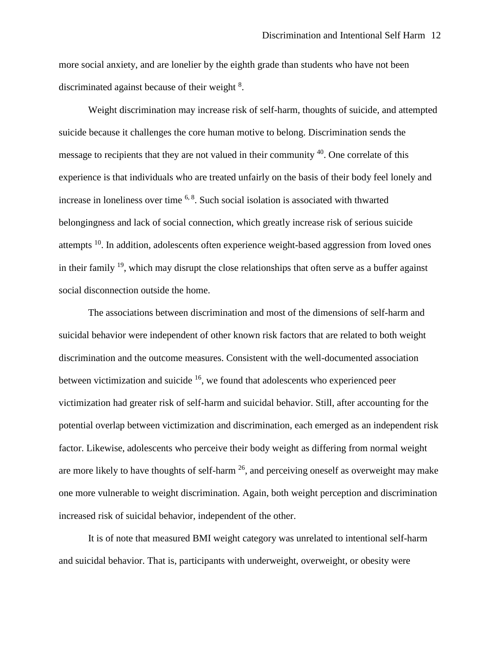more social anxiety, and are lonelier by the eighth grade than students who have not been discriminated against because of their weight <sup>8</sup>.

Weight discrimination may increase risk of self-harm, thoughts of suicide, and attempted suicide because it challenges the core human motive to belong. Discrimination sends the message to recipients that they are not valued in their community <sup>40</sup>. One correlate of this experience is that individuals who are treated unfairly on the basis of their body feel lonely and increase in loneliness over time <sup>6, 8</sup>. Such social isolation is associated with thwarted belongingness and lack of social connection, which greatly increase risk of serious suicide attempts  $10$ . In addition, adolescents often experience weight-based aggression from loved ones in their family  $19$ , which may disrupt the close relationships that often serve as a buffer against social disconnection outside the home.

The associations between discrimination and most of the dimensions of self-harm and suicidal behavior were independent of other known risk factors that are related to both weight discrimination and the outcome measures. Consistent with the well-documented association between victimization and suicide <sup>16</sup>, we found that adolescents who experienced peer victimization had greater risk of self-harm and suicidal behavior. Still, after accounting for the potential overlap between victimization and discrimination, each emerged as an independent risk factor. Likewise, adolescents who perceive their body weight as differing from normal weight are more likely to have thoughts of self-harm  $^{26}$ , and perceiving oneself as overweight may make one more vulnerable to weight discrimination. Again, both weight perception and discrimination increased risk of suicidal behavior, independent of the other.

It is of note that measured BMI weight category was unrelated to intentional self-harm and suicidal behavior. That is, participants with underweight, overweight, or obesity were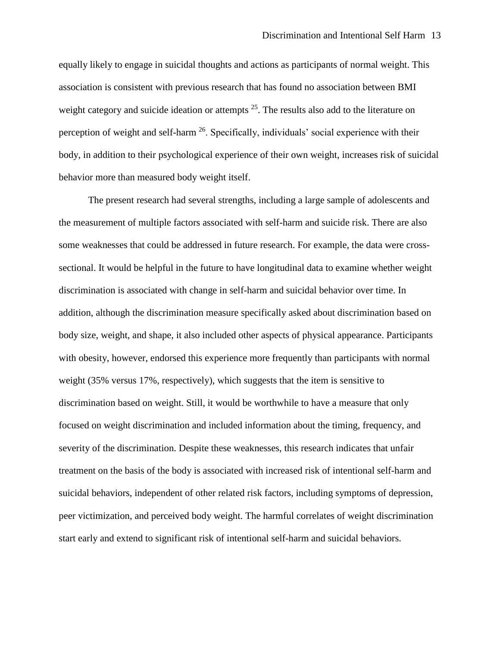equally likely to engage in suicidal thoughts and actions as participants of normal weight. This association is consistent with previous research that has found no association between BMI weight category and suicide ideation or attempts  $2<sup>5</sup>$ . The results also add to the literature on perception of weight and self-harm  $^{26}$ . Specifically, individuals' social experience with their body, in addition to their psychological experience of their own weight, increases risk of suicidal behavior more than measured body weight itself.

The present research had several strengths, including a large sample of adolescents and the measurement of multiple factors associated with self-harm and suicide risk. There are also some weaknesses that could be addressed in future research. For example, the data were crosssectional. It would be helpful in the future to have longitudinal data to examine whether weight discrimination is associated with change in self-harm and suicidal behavior over time. In addition, although the discrimination measure specifically asked about discrimination based on body size, weight, and shape, it also included other aspects of physical appearance. Participants with obesity, however, endorsed this experience more frequently than participants with normal weight (35% versus 17%, respectively), which suggests that the item is sensitive to discrimination based on weight. Still, it would be worthwhile to have a measure that only focused on weight discrimination and included information about the timing, frequency, and severity of the discrimination. Despite these weaknesses, this research indicates that unfair treatment on the basis of the body is associated with increased risk of intentional self-harm and suicidal behaviors, independent of other related risk factors, including symptoms of depression, peer victimization, and perceived body weight. The harmful correlates of weight discrimination start early and extend to significant risk of intentional self-harm and suicidal behaviors.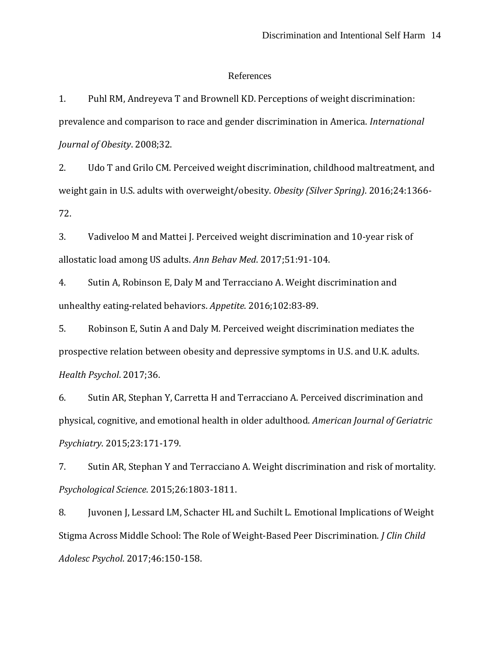#### References

1. Puhl RM, Andreyeva T and Brownell KD. Perceptions of weight discrimination: prevalence and comparison to race and gender discrimination in America. *International Journal of Obesity*. 2008;32.

2. Udo T and Grilo CM. Perceived weight discrimination, childhood maltreatment, and weight gain in U.S. adults with overweight/obesity. *Obesity (Silver Spring)*. 2016;24:1366- 72.

3. Vadiveloo M and Mattei J. Perceived weight discrimination and 10-year risk of allostatic load among US adults. *Ann Behav Med*. 2017;51:91-104.

4. Sutin A, Robinson E, Daly M and Terracciano A. Weight discrimination and unhealthy eating-related behaviors. *Appetite*. 2016;102:83-89.

5. Robinson E, Sutin A and Daly M. Perceived weight discrimination mediates the prospective relation between obesity and depressive symptoms in U.S. and U.K. adults. *Health Psychol*. 2017;36.

6. Sutin AR, Stephan Y, Carretta H and Terracciano A. Perceived discrimination and physical, cognitive, and emotional health in older adulthood. *American Journal of Geriatric Psychiatry*. 2015;23:171-179.

7. Sutin AR, Stephan Y and Terracciano A. Weight discrimination and risk of mortality. *Psychological Science*. 2015;26:1803-1811.

8. Juvonen J, Lessard LM, Schacter HL and Suchilt L. Emotional Implications of Weight Stigma Across Middle School: The Role of Weight-Based Peer Discrimination. *J Clin Child Adolesc Psychol*. 2017;46:150-158.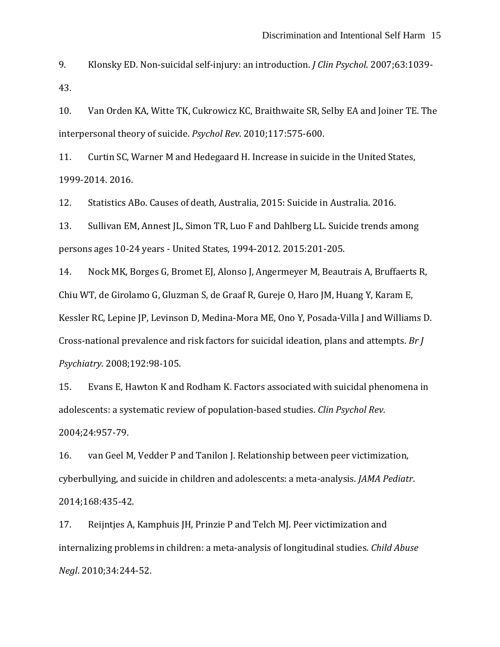9. Klonsky ED. Non-suicidal self-injury: an introduction. *J Clin Psychol*. 2007;63:1039- 43.

10. Van Orden KA, Witte TK, Cukrowicz KC, Braithwaite SR, Selby EA and Joiner TE. The interpersonal theory of suicide. *Psychol Rev*. 2010;117:575-600.

11. Curtin SC, Warner M and Hedegaard H. Increase in suicide in the United States, 1999-2014. 2016.

12. Statistics ABo. Causes of death, Australia, 2015: Suicide in Australia. 2016.

13. Sullivan EM, Annest JL, Simon TR, Luo F and Dahlberg LL. Suicide trends among persons ages 10-24 years - United States, 1994-2012. 2015:201-205.

14. Nock MK, Borges G, Bromet EJ, Alonso J, Angermeyer M, Beautrais A, Bruffaerts R, Chiu WT, de Girolamo G, Gluzman S, de Graaf R, Gureje O, Haro JM, Huang Y, Karam E, Kessler RC, Lepine JP, Levinson D, Medina-Mora ME, Ono Y, Posada-Villa J and Williams D. Cross-national prevalence and risk factors for suicidal ideation, plans and attempts. *Br J Psychiatry*. 2008;192:98-105.

15. Evans E, Hawton K and Rodham K. Factors associated with suicidal phenomena in adolescents: a systematic review of population-based studies. *Clin Psychol Rev*. 2004;24:957-79.

16. van Geel M, Vedder P and Tanilon J. Relationship between peer victimization, cyberbullying, and suicide in children and adolescents: a meta-analysis. *JAMA Pediatr*. 2014;168:435-42.

17. Reijntjes A, Kamphuis JH, Prinzie P and Telch MJ. Peer victimization and internalizing problems in children: a meta-analysis of longitudinal studies. *Child Abuse Negl*. 2010;34:244-52.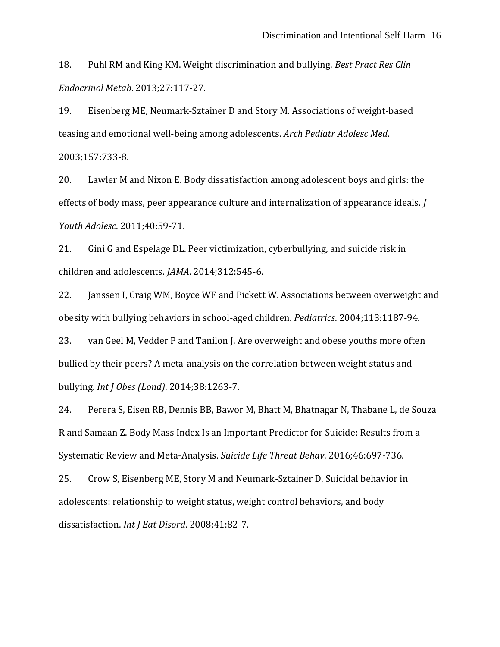18. Puhl RM and King KM. Weight discrimination and bullying. *Best Pract Res Clin Endocrinol Metab*. 2013;27:117-27.

19. Eisenberg ME, Neumark-Sztainer D and Story M. Associations of weight-based teasing and emotional well-being among adolescents. *Arch Pediatr Adolesc Med*. 2003;157:733-8.

20. Lawler M and Nixon E. Body dissatisfaction among adolescent boys and girls: the effects of body mass, peer appearance culture and internalization of appearance ideals. *J Youth Adolesc*. 2011;40:59-71.

21. Gini G and Espelage DL. Peer victimization, cyberbullying, and suicide risk in children and adolescents. *JAMA*. 2014;312:545-6.

22. Janssen I, Craig WM, Boyce WF and Pickett W. Associations between overweight and obesity with bullying behaviors in school-aged children. *Pediatrics*. 2004;113:1187-94.

23. van Geel M, Vedder P and Tanilon J. Are overweight and obese youths more often bullied by their peers? A meta-analysis on the correlation between weight status and bullying. *Int J Obes (Lond)*. 2014;38:1263-7.

24. Perera S, Eisen RB, Dennis BB, Bawor M, Bhatt M, Bhatnagar N, Thabane L, de Souza R and Samaan Z. Body Mass Index Is an Important Predictor for Suicide: Results from a Systematic Review and Meta-Analysis. *Suicide Life Threat Behav*. 2016;46:697-736.

25. Crow S, Eisenberg ME, Story M and Neumark-Sztainer D. Suicidal behavior in adolescents: relationship to weight status, weight control behaviors, and body dissatisfaction. *Int J Eat Disord*. 2008;41:82-7.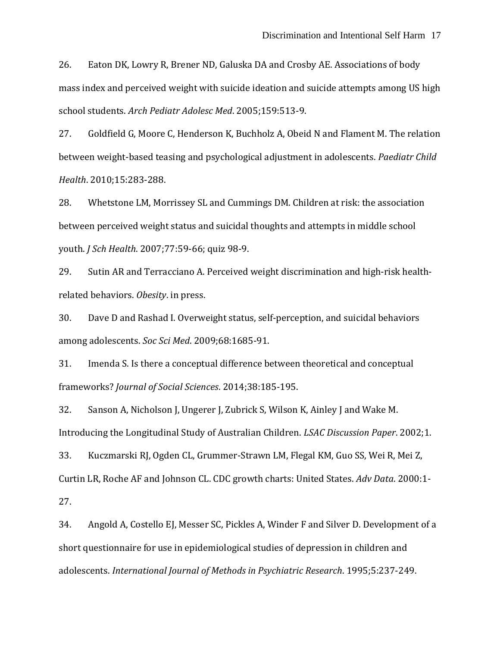26. Eaton DK, Lowry R, Brener ND, Galuska DA and Crosby AE. Associations of body mass index and perceived weight with suicide ideation and suicide attempts among US high school students. *Arch Pediatr Adolesc Med*. 2005;159:513-9.

27. Goldfield G, Moore C, Henderson K, Buchholz A, Obeid N and Flament M. The relation between weight-based teasing and psychological adjustment in adolescents. *Paediatr Child Health*. 2010;15:283-288.

28. Whetstone LM, Morrissey SL and Cummings DM. Children at risk: the association between perceived weight status and suicidal thoughts and attempts in middle school youth. *J Sch Health*. 2007;77:59-66; quiz 98-9.

29. Sutin AR and Terracciano A. Perceived weight discrimination and high-risk healthrelated behaviors. *Obesity*. in press.

30. Dave D and Rashad I. Overweight status, self-perception, and suicidal behaviors among adolescents. *Soc Sci Med*. 2009;68:1685-91.

31. Imenda S. Is there a conceptual difference between theoretical and conceptual frameworks? *Journal of Social Sciences*. 2014;38:185-195.

32. Sanson A, Nicholson J, Ungerer J, Zubrick S, Wilson K, Ainley J and Wake M. Introducing the Longitudinal Study of Australian Children. *LSAC Discussion Paper*. 2002;1.

33. Kuczmarski RJ, Ogden CL, Grummer-Strawn LM, Flegal KM, Guo SS, Wei R, Mei Z, Curtin LR, Roche AF and Johnson CL. CDC growth charts: United States. *Adv Data*. 2000:1- 27.

34. Angold A, Costello EJ, Messer SC, Pickles A, Winder F and Silver D. Development of a short questionnaire for use in epidemiological studies of depression in children and adolescents. *International Journal of Methods in Psychiatric Research*. 1995;5:237-249.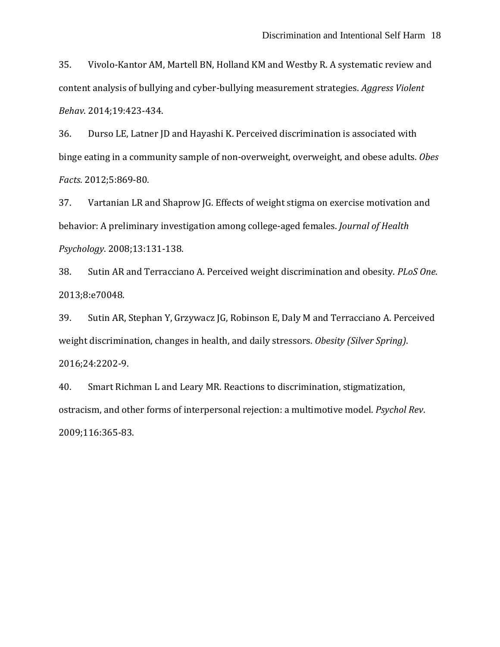35. Vivolo-Kantor AM, Martell BN, Holland KM and Westby R. A systematic review and content analysis of bullying and cyber-bullying measurement strategies. *Aggress Violent Behav*. 2014;19:423-434.

36. Durso LE, Latner JD and Hayashi K. Perceived discrimination is associated with binge eating in a community sample of non-overweight, overweight, and obese adults. *Obes Facts*. 2012;5:869-80.

37. Vartanian LR and Shaprow JG. Effects of weight stigma on exercise motivation and behavior: A preliminary investigation among college-aged females. *Journal of Health Psychology*. 2008;13:131-138.

38. Sutin AR and Terracciano A. Perceived weight discrimination and obesity. *PLoS One*. 2013;8:e70048.

39. Sutin AR, Stephan Y, Grzywacz JG, Robinson E, Daly M and Terracciano A. Perceived weight discrimination, changes in health, and daily stressors. *Obesity (Silver Spring)*. 2016;24:2202-9.

40. Smart Richman L and Leary MR. Reactions to discrimination, stigmatization, ostracism, and other forms of interpersonal rejection: a multimotive model. *Psychol Rev*. 2009;116:365-83.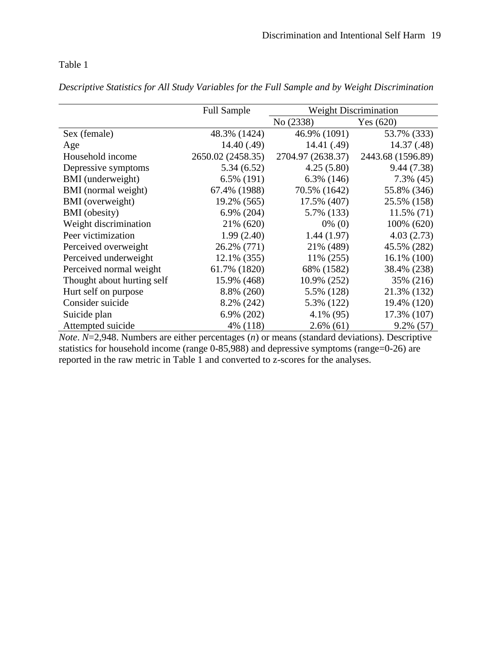## Table 1

*Descriptive Statistics for All Study Variables for the Full Sample and by Weight Discrimination*

|                            | <b>Full Sample</b> | <b>Weight Discrimination</b> |                   |  |
|----------------------------|--------------------|------------------------------|-------------------|--|
|                            |                    | No (2338)                    | Yes $(620)$       |  |
| Sex (female)               | 48.3% (1424)       | 46.9% (1091)                 | 53.7% (333)       |  |
| Age                        | 14.40(0.49)        | 14.41 (.49)                  | 14.37 (.48)       |  |
| Household income           | 2650.02 (2458.35)  | 2704.97 (2638.37)            | 2443.68 (1596.89) |  |
| Depressive symptoms        | 5.34(6.52)         | 4.25(5.80)                   | 9.44(7.38)        |  |
| BMI (underweight)          | $6.5\%$ (191)      | $6.3\%$ (146)                | $7.3\%$ (45)      |  |
| BMI (normal weight)        | 67.4% (1988)       | 70.5% (1642)                 | 55.8% (346)       |  |
| BMI (overweight)           | 19.2% (565)        | 17.5% (407)                  | 25.5% (158)       |  |
| <b>BMI</b> (obesity)       | $6.9\%$ (204)      | 5.7% (133)                   | $11.5\%$ (71)     |  |
| Weight discrimination      | 21% (620)          | $0\%$ (0)                    | 100% (620)        |  |
| Peer victimization         | 1.99(2.40)         | 1.44(1.97)                   | 4.03(2.73)        |  |
| Perceived overweight       | 26.2% (771)        | 21% (489)                    | 45.5% (282)       |  |
| Perceived underweight      | 12.1% (355)        | 11% (255)                    | $16.1\%$ (100)    |  |
| Perceived normal weight    | 61.7% (1820)       | 68% (1582)                   | 38.4% (238)       |  |
| Thought about hurting self | 15.9% (468)        | 10.9% (252)                  | 35% (216)         |  |
| Hurt self on purpose       | 8.8% (260)         | 5.5% (128)                   | 21.3% (132)       |  |
| Consider suicide           | 8.2% (242)         | 5.3% (122)                   | 19.4% (120)       |  |
| Suicide plan               | 6.9% (202)         | $4.1\%$ (95)                 | 17.3% (107)       |  |
| Attempted suicide          | 4% (118)           | $2.6\%$ (61)                 | $9.2\%$ (57)      |  |

*Note*. *N*=2,948. Numbers are either percentages (*n*) or means (standard deviations). Descriptive statistics for household income (range 0-85,988) and depressive symptoms (range=0-26) are reported in the raw metric in Table 1 and converted to z-scores for the analyses.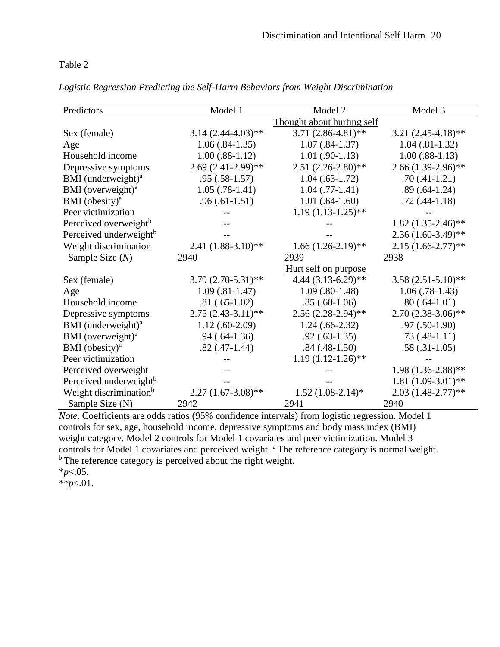### Table 2

| Logistic Regression Predicting the Self-Harm Behaviors from Weight Discrimination |  |  |  |  |  |
|-----------------------------------------------------------------------------------|--|--|--|--|--|
|-----------------------------------------------------------------------------------|--|--|--|--|--|

| Predictors                         | Model 1              | Model 2                    | Model 3                 |
|------------------------------------|----------------------|----------------------------|-------------------------|
|                                    |                      | Thought about hurting self |                         |
| Sex (female)                       | $3.14(2.44-4.03)$ ** | $3.71(2.86-4.81)$ **       | $3.21 (2.45 - 4.18)$ ** |
| Age                                | $1.06(.84-1.35)$     | $1.07(.84-1.37)$           | $1.04(.81-1.32)$        |
| Household income                   | $1.00(.88-1.12)$     | $1.01(.90-1.13)$           | $1.00(.88-1.13)$        |
| Depressive symptoms                | $2.69(2.41-2.99)$ ** | $2.51(2.26-2.80)$ **       | $2.66(1.39-2.96)$ **    |
| BMI (underweight) <sup>a</sup>     | $.95(.58-1.57)$      | $1.04(0.63-1.72)$          | $.70(.41-1.21)$         |
| BMI (overweight) <sup>a</sup>      | $1.05(.78-1.41)$     | $1.04$ (.77-1.41)          | $.89(.64-1.24)$         |
| BMI (obesity) $a$                  | $.96(.61-1.51)$      | $1.01(.64-1.60)$           | $.72(.44-1.18)$         |
| Peer victimization                 |                      | $1.19(1.13-1.25)$ **       |                         |
| Perceived overweight <sup>b</sup>  |                      |                            | $1.82(1.35-2.46)$ **    |
| Perceived underweight <sup>b</sup> |                      |                            | $2.36(1.60-3.49)$ **    |
| Weight discrimination              | $2.41(1.88-3.10)**$  | $1.66(1.26-2.19)$ **       | $2.15(1.66 - 2.77)$ **  |
| Sample Size $(N)$                  | 2940                 | 2939                       | 2938                    |
|                                    |                      | Hurt self on purpose       |                         |
| Sex (female)                       | $3.79(2.70-5.31)$ ** | $4.44(3.13-6.29)$ **       | $3.58(2.51-5.10)$ **    |
| Age                                | $1.09(.81-1.47)$     | $1.09(.80-1.48)$           | $1.06(.78-1.43)$        |
| Household income                   | $.81(.65-1.02)$      | $.85(.68-1.06)$            | $.80(.64-1.01)$         |
| Depressive symptoms                | $2.75(2.43-3.11)$ ** | $2.56(2.28-2.94)$ **       | $2.70(2.38-3.06)$ **    |
| BMI (underweight) <sup>a</sup>     | $1.12(.60-2.09)$     | $1.24(0.66-2.32)$          | $.97(.50-1.90)$         |
| BMI (overweight) <sup>a</sup>      | $.94(.64-1.36)$      | $.92(.63-1.35)$            | $.73(.48-1.11)$         |
| BMI (obesity) $a$                  | $.82(.47-1.44)$      | $.84$ $(.48-1.50)$         | $.58(.31-1.05)$         |
| Peer victimization                 |                      | $1.19(1.12-1.26)$ **       |                         |
| Perceived overweight               |                      |                            | $1.98(1.36-2.88)$ **    |
| Perceived underweight <sup>b</sup> |                      |                            | $1.81(1.09-3.01)$ **    |
| Weight discrimination <sup>b</sup> | $2.27(1.67-3.08)$ ** | $1.52(1.08-2.14)$ *        | $2.03(1.48-2.77)$ **    |
| Sample Size (N)                    | 2942                 | 2941                       | 2940                    |

*Note*. Coefficients are odds ratios (95% confidence intervals) from logistic regression. Model 1 controls for sex, age, household income, depressive symptoms and body mass index (BMI) weight category. Model 2 controls for Model 1 covariates and peer victimization. Model 3 controls for Model 1 covariates and perceived weight. <sup>a</sup> The reference category is normal weight. <sup>b</sup> The reference category is perceived about the right weight.

 $*^*p<.01$ .

<sup>\*</sup>*p*<.05.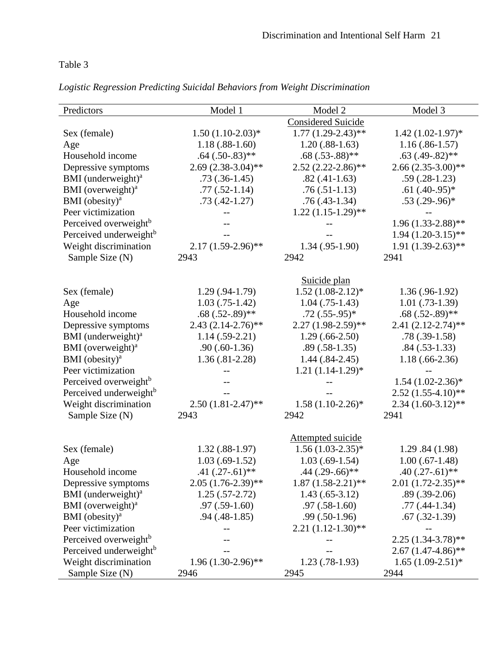# Table 3

| Logistic Regression Predicting Suicidal Behaviors from Weight Discrimination |  |  |  |  |  |  |  |  |  |
|------------------------------------------------------------------------------|--|--|--|--|--|--|--|--|--|
|------------------------------------------------------------------------------|--|--|--|--|--|--|--|--|--|

| Predictors                         | Model 1              | Model 2                   | Model 3                 |
|------------------------------------|----------------------|---------------------------|-------------------------|
|                                    |                      | <b>Considered Suicide</b> |                         |
| Sex (female)                       | $1.50(1.10-2.03)*$   | $1.77(1.29-2.43)$ **      | $1.42 (1.02 - 1.97)^*$  |
| Age                                | $1.18(.88-1.60)$     | $1.20(.88-1.63)$          | $1.16(.86-1.57)$        |
| Household income                   | $.64(.50-.83)$ **    | $.68(.53-.88)$ **         | $.63$ $(.49-.82)$ **    |
| Depressive symptoms                | $2.69(2.38-3.04)$ ** | $2.52(2.22-2.86)$ **      | $2.66(2.35-3.00)$ **    |
| BMI (underweight) <sup>a</sup>     | $.73(.36-1.45)$      | $.82(.41-1.63)$           | $.59(.28-1.23)$         |
| BMI (overweight) <sup>a</sup>      | $.77(.52-1.14)$      | $.76(.51-1.13)$           | $.61(.40-.95)*$         |
| BMI (obesity) $a$                  | $.73(.42-1.27)$      | $.76(.43-1.34)$           | $.53(.29-.96)$ *        |
| Peer victimization                 |                      | $1.22(1.15-1.29)$ **      |                         |
| Perceived overweight <sup>b</sup>  |                      |                           | $1.96(1.33-2.88)$ **    |
| Perceived underweight <sup>b</sup> |                      |                           | $1.94 (1.20 - 3.15)$ ** |
| Weight discrimination              | $2.17(1.59-2.96)$ ** | $1.34(.95-1.90)$          | $1.91(1.39-2.63)$ **    |
| Sample Size (N)                    | 2943                 | 2942                      | 2941                    |
|                                    |                      |                           |                         |
|                                    |                      | Suicide plan              |                         |
| Sex (female)                       | $1.29(.94-1.79)$     | $1.52(1.08-2.12)*$        | $1.36(.96-1.92)$        |
| Age                                | $1.03$ $(.75-1.42)$  | $1.04$ (.75-1.43)         | $1.01(0.73-1.39)$       |
| Household income                   | $.68(.52-.89)$ **    | $.72(.55-.95)*$           | $.68(.52-.89)$ **       |
| Depressive symptoms                | $2.43(2.14-2.76)$ ** | $2.27(1.98-2.59)$ **      | $2.41(2.12-2.74)$ **    |
| BMI (underweight) <sup>a</sup>     | $1.14(.59-2.21)$     | $1.29(.66-2.50)$          | $.78(.39-1.58)$         |
| BMI (overweight) <sup>a</sup>      | $.90(.60-1.36)$      | $.89(.58-1.35)$           | $.84(.53-1.33)$         |
| BMI (obesity) $a$                  | $1.36(.81-2.28)$     | $1.44(.84-2.45)$          | $1.18(.66-2.36)$        |
| Peer victimization                 |                      | $1.21(1.14-1.29)*$        |                         |
| Perceived overweight <sup>b</sup>  |                      |                           | $1.54(1.02-2.36)*$      |
| Perceived underweight <sup>b</sup> |                      |                           | $2.52(1.55-4.10)$ **    |
| Weight discrimination              | $2.50(1.81-2.47)$ ** | $1.58(1.10-2.26)$ *       | $2.34(1.60-3.12)$ **    |
| Sample Size (N)                    | 2943                 | 2942                      | 2941                    |
|                                    |                      |                           |                         |
|                                    |                      | Attempted suicide         |                         |
| Sex (female)                       | $1.32(.88-1.97)$     | $1.56(1.03-2.35)*$        | 1.29.84(1.98)           |
| Age                                | $1.03(.69-1.52)$     | $1.03(.69-1.54)$          | $1.00$ $(.67-1.48)$     |
| Household income                   | $.41(.27-.61)$ **    | $.44$ $(.29-.66)$ **      | $.40(.27-.61)$ **       |
| Depressive symptoms                | $2.05(1.76-2.39)$ ** | $1.87(1.58-2.21)**$       | $2.01(1.72-2.35)$ **    |
| BMI (underweight) <sup>a</sup>     | $1.25(.57-2.72)$     | $1.43(.65-3.12)$          | $.89(.39-2.06)$         |
| BMI (overweight) <sup>a</sup>      | $.97(.59-1.60)$      | $.97(.58-1.60)$           | $.77(0.44-1.34)$        |
| BMI (obesity) <sup>a</sup>         | $.94(0.48-1.85)$     | $.99(.50-1.96)$           | $.67$ $(.32-1.39)$      |
| Peer victimization                 |                      | $2.21(1.12-1.30)$ **      |                         |
| Perceived overweight <sup>b</sup>  |                      |                           | $2.25(1.34-3.78)$ **    |
| Perceived underweight <sup>b</sup> |                      |                           | $2.67(1.47-4.86)$ **    |
| Weight discrimination              | $1.96(1.30-2.96)$ ** | $1.23(0.78-1.93)$         | $1.65(1.09-2.51)*$      |
| Sample Size (N)                    | 2946                 | 2945                      | 2944                    |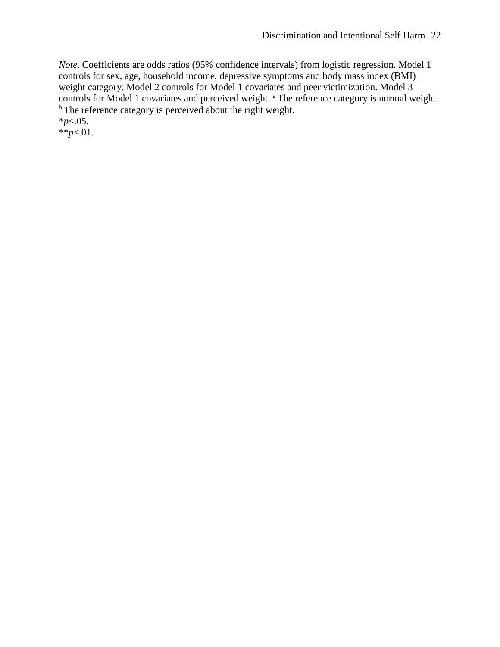*Note*. Coefficients are odds ratios (95% confidence intervals) from logistic regression. Model 1 controls for sex, age, household income, depressive symptoms and body mass index (BMI) weight category. Model 2 controls for Model 1 covariates and peer victimization. Model 3 controls for Model 1 covariates and perceived weight. <sup>a</sup> The reference category is normal weight. <sup>b</sup> The reference category is perceived about the right weight. \**p*<.05.

 $*^*p<.01$ .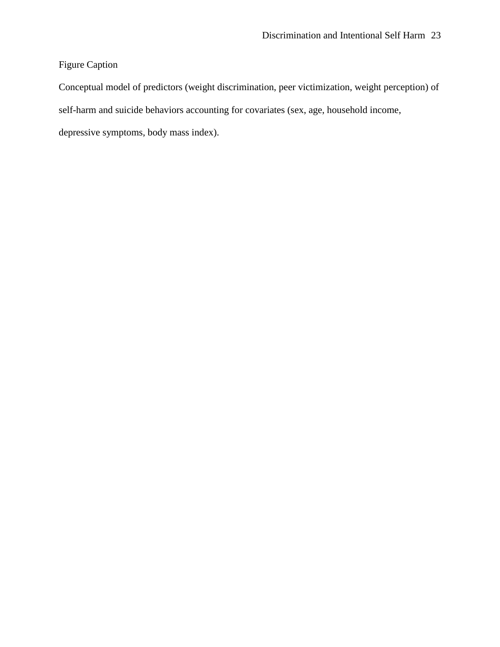## Figure Caption

Conceptual model of predictors (weight discrimination, peer victimization, weight perception) of self-harm and suicide behaviors accounting for covariates (sex, age, household income, depressive symptoms, body mass index).